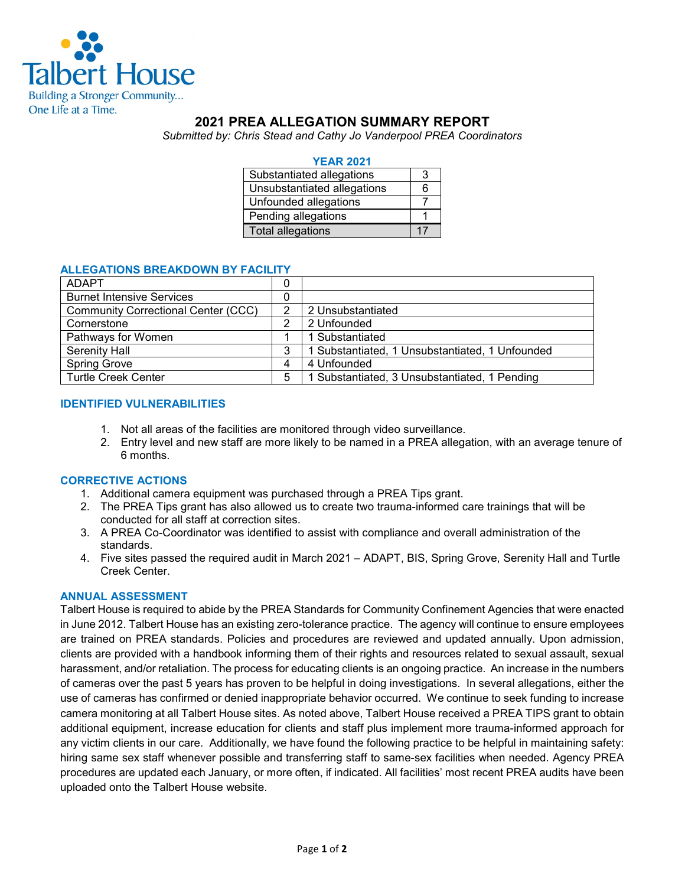

# **2021 PREA ALLEGATION SUMMARY REPORT**

*Submitted by: Chris Stead and Cathy Jo Vanderpool PREA Coordinators*

| <b>YEAR 2021</b>            |    |
|-----------------------------|----|
| Substantiated allegations   |    |
| Unsubstantiated allegations | ิค |
| Unfounded allegations       |    |
| Pending allegations         |    |
| <b>Total allegations</b>    |    |

#### **ALLEGATIONS BREAKDOWN BY FACILITY**

| <b>ADAPT</b>                               | 0 |                                                 |
|--------------------------------------------|---|-------------------------------------------------|
| <b>Burnet Intensive Services</b>           | 0 |                                                 |
| <b>Community Correctional Center (CCC)</b> |   | 2 Unsubstantiated                               |
| Cornerstone                                | っ | 2 Unfounded                                     |
| Pathways for Women                         |   | 1 Substantiated                                 |
| Serenity Hall                              | 3 | 1 Substantiated, 1 Unsubstantiated, 1 Unfounded |
| <b>Spring Grove</b>                        | 4 | 4 Unfounded                                     |
| <b>Turtle Creek Center</b>                 | 5 | 1 Substantiated, 3 Unsubstantiated, 1 Pending   |

#### **IDENTIFIED VULNERABILITIES**

- 1. Not all areas of the facilities are monitored through video surveillance.
- 2. Entry level and new staff are more likely to be named in a PREA allegation, with an average tenure of 6 months.

#### **CORRECTIVE ACTIONS**

- 1. Additional camera equipment was purchased through a PREA Tips grant.
- 2. The PREA Tips grant has also allowed us to create two trauma-informed care trainings that will be conducted for all staff at correction sites.
- 3. A PREA Co-Coordinator was identified to assist with compliance and overall administration of the standards.
- 4. Five sites passed the required audit in March 2021 ADAPT, BIS, Spring Grove, Serenity Hall and Turtle Creek Center.

### **ANNUAL ASSESSMENT**

Talbert House is required to abide by the PREA Standards for Community Confinement Agencies that were enacted in June 2012. Talbert House has an existing zero-tolerance practice. The agency will continue to ensure employees are trained on PREA standards. Policies and procedures are reviewed and updated annually. Upon admission, clients are provided with a handbook informing them of their rights and resources related to sexual assault, sexual harassment, and/or retaliation. The process for educating clients is an ongoing practice. An increase in the numbers of cameras over the past 5 years has proven to be helpful in doing investigations. In several allegations, either the use of cameras has confirmed or denied inappropriate behavior occurred. We continue to seek funding to increase camera monitoring at all Talbert House sites. As noted above, Talbert House received a PREA TIPS grant to obtain additional equipment, increase education for clients and staff plus implement more trauma-informed approach for any victim clients in our care. Additionally, we have found the following practice to be helpful in maintaining safety: hiring same sex staff whenever possible and transferring staff to same-sex facilities when needed. Agency PREA procedures are updated each January, or more often, if indicated. All facilities' most recent PREA audits have been uploaded onto the Talbert House website.